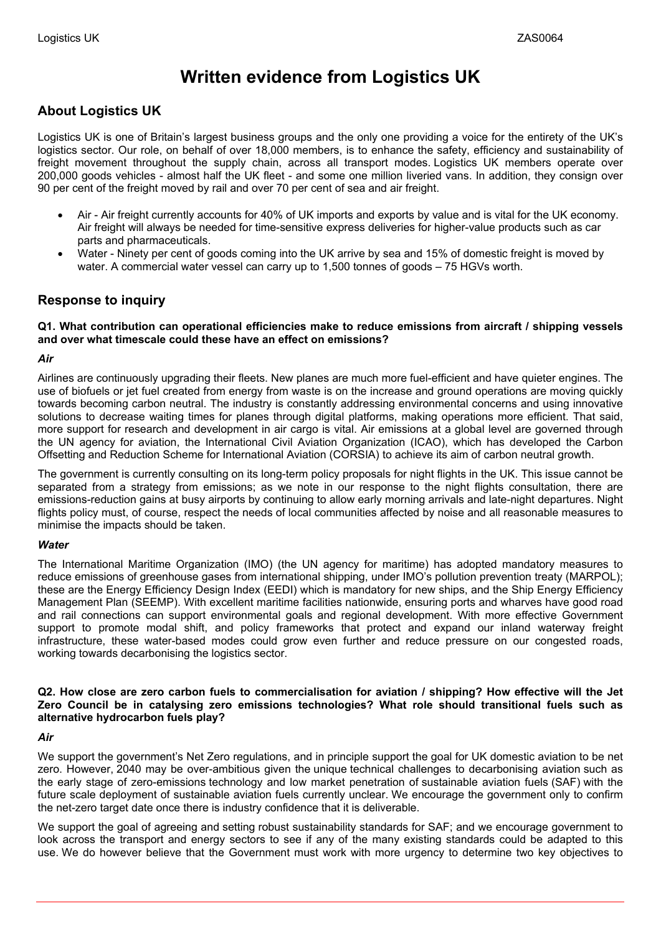# **Written evidence from Logistics UK**

# **About Logistics UK**

Logistics UK is one of Britain's largest business groups and the only one providing a voice for the entirety of the UK's logistics sector. Our role, on behalf of over 18,000 members, is to enhance the safety, efficiency and sustainability of freight movement throughout the supply chain, across all transport modes. Logistics UK members operate over 200,000 goods vehicles - almost half the UK fleet - and some one million liveried vans. In addition, they consign over 90 per cent of the freight moved by rail and over 70 per cent of sea and air freight.

- Air Air freight currently accounts for 40% of UK imports and exports by value and is vital for the UK economy. Air freight will always be needed for time-sensitive express deliveries for higher-value products such as car parts and pharmaceuticals.
- Water Ninety per cent of goods coming into the UK arrive by sea and 15% of domestic freight is moved by water. A commercial water vessel can carry up to 1,500 tonnes of goods – 75 HGVs worth.

# **Response to inquiry**

**Q1. What contribution can operational efficiencies make to reduce emissions from aircraft / shipping vessels and over what timescale could these have an effect on emissions?**

## *Air*

Airlines are continuously upgrading their fleets. New planes are much more fuel-efficient and have quieter engines. The use of biofuels or jet fuel created from energy from waste is on the increase and ground operations are moving quickly towards becoming carbon neutral. The industry is constantly addressing environmental concerns and using innovative solutions to decrease waiting times for planes through digital platforms, making operations more efficient. That said, more support for research and development in air cargo is vital. Air emissions at a global level are governed through the UN agency for aviation, the International Civil Aviation Organization (ICAO), which has developed the Carbon Offsetting and Reduction Scheme for International Aviation (CORSIA) to achieve its aim of carbon neutral growth.

The government is currently consulting on its long-term policy proposals for night flights in the UK. This issue cannot be separated from a strategy from emissions; as we note in our response to the night flights consultation, there are emissions-reduction gains at busy airports by continuing to allow early morning arrivals and late-night departures. Night flights policy must, of course, respect the needs of local communities affected by noise and all reasonable measures to minimise the impacts should be taken.

## *Water*

The International Maritime Organization (IMO) (the UN agency for maritime) has adopted mandatory measures to reduce emissions of greenhouse gases from international shipping, under IMO's pollution prevention treaty (MARPOL); these are the Energy Efficiency Design Index (EEDI) which is mandatory for new ships, and the Ship Energy Efficiency Management Plan (SEEMP). With excellent maritime facilities nationwide, ensuring ports and wharves have good road and rail connections can support environmental goals and regional development. With more effective Government support to promote modal shift, and policy frameworks that protect and expand our inland waterway freight infrastructure, these water-based modes could grow even further and reduce pressure on our congested roads, working towards decarbonising the logistics sector.

#### Q2. How close are zero carbon fuels to commercialisation for aviation / shipping? How effective will the Jet **Zero Council be in catalysing zero emissions technologies? What role should transitional fuels such as alternative hydrocarbon fuels play?**

## *Air*

We support the government's Net Zero regulations, and in principle support the goal for UK domestic aviation to be net zero. However, 2040 may be over-ambitious given the unique technical challenges to decarbonising aviation such as the early stage of zero-emissions technology and low market penetration of sustainable aviation fuels (SAF) with the future scale deployment of sustainable aviation fuels currently unclear. We encourage the government only to confirm the net-zero target date once there is industry confidence that it is deliverable.

We support the goal of agreeing and setting robust sustainability standards for SAF; and we encourage government to look across the transport and energy sectors to see if any of the many existing standards could be adapted to this use. We do however believe that the Government must work with more urgency to determine two key objectives to